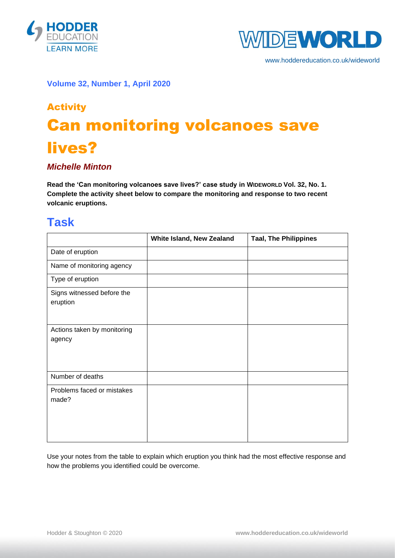



www.hoddereducation.co.uk/wideworld

#### **Volume 32, Number 1, April 2020**

# Activity Can monitoring volcanoes save lives?

#### *Michelle Minton*

Read the 'Can monitoring volcanoes save lives?' case study in WIDEWORLD Vol. 32, No. 1. **Complete the activity sheet below to compare the monitoring and response to two recent volcanic eruptions.**

### **Task**

|                                        | White Island, New Zealand | <b>Taal, The Philippines</b> |
|----------------------------------------|---------------------------|------------------------------|
| Date of eruption                       |                           |                              |
| Name of monitoring agency              |                           |                              |
| Type of eruption                       |                           |                              |
| Signs witnessed before the<br>eruption |                           |                              |
| Actions taken by monitoring<br>agency  |                           |                              |
| Number of deaths                       |                           |                              |
| Problems faced or mistakes<br>made?    |                           |                              |

Use your notes from the table to explain which eruption you think had the most effective response and how the problems you identified could be overcome.